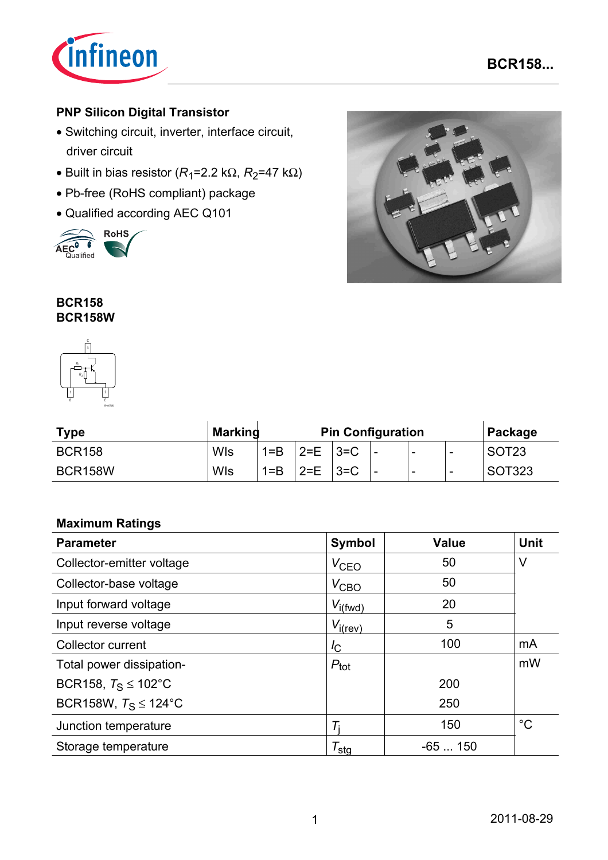

### **PNP Silicon Digital Transistor**

- Switching circuit, inverter, interface circuit, driver circuit
- Built in bias resistor  $(R_1=2.2 \text{ k}\Omega, R_2=47 \text{ k}\Omega)$
- Pb-free (RoHS compliant) package
- Qualified according AEC Q101





### **BCR158 BCR158W**



| <b>Type</b>    | <b>Markind</b> | <b>Pin Configuration</b> |         |          |                          |   | Package |                   |
|----------------|----------------|--------------------------|---------|----------|--------------------------|---|---------|-------------------|
| <b>BCR158</b>  | WIs            | $1 = B$                  | $2 = E$ | $ 3= C$  | -                        | - | -       | SOT <sub>23</sub> |
| <b>BCR158W</b> | WIs            | $1 = B$                  | $2 = E$ | $13 = C$ | $\overline{\phantom{0}}$ | - | -       | SOT323            |

### **Maximum Ratings**

| <b>Parameter</b>                | <b>Symbol</b>         | <b>Value</b> | <b>Unit</b> |
|---------------------------------|-----------------------|--------------|-------------|
| Collector-emitter voltage       | $V_{\text{CEO}}$      | 50           | V           |
| Collector-base voltage          | $V_{\text{CBO}}$      | 50           |             |
| Input forward voltage           | $V_{i(fwd)}$          | 20           |             |
| Input reverse voltage           | $V_{i(rev)}$          | 5            |             |
| <b>Collector current</b>        | $I_{\rm C}$           | 100          | mA          |
| Total power dissipation-        | $P_{\text{tot}}$      |              | mW          |
| BCR158, $T_S \le 102^{\circ}$ C |                       | 200          |             |
| BCR158W, $T_S \le 124$ °C       |                       | 250          |             |
| Junction temperature            | Т.                    | 150          | $^{\circ}C$ |
| Storage temperature             | $\tau_{\textsf{stg}}$ | $-65150$     |             |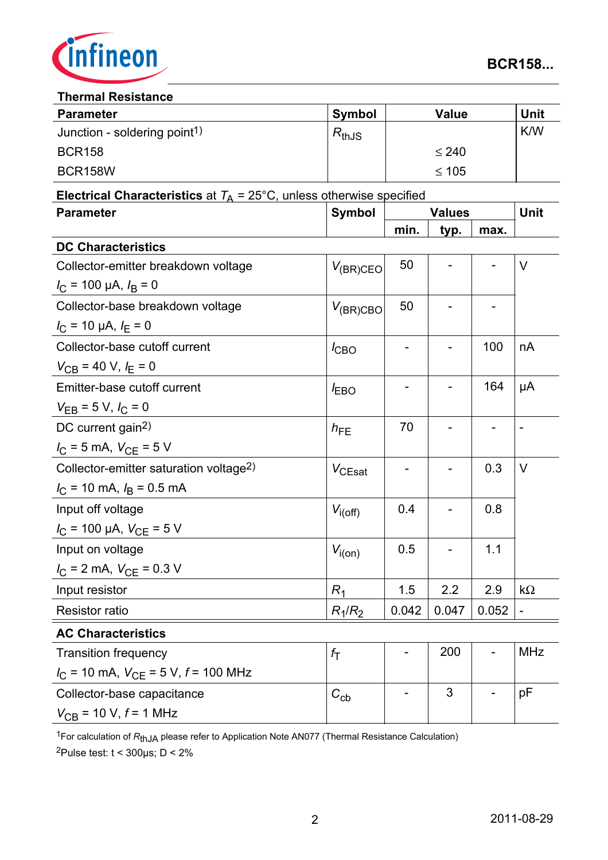

#### **Thermal Resistance**

| <b>Parameter</b>                         | <b>Symbol</b> | <b>Value</b> | Unit       |  |  |  |
|------------------------------------------|---------------|--------------|------------|--|--|--|
| Junction - soldering point <sup>1)</sup> | $R_{thJS}$    |              | <b>K/W</b> |  |  |  |
| <b>BCR158</b>                            |               | $\leq 240$   |            |  |  |  |
| BCR158W                                  |               | $\leq 105$   |            |  |  |  |

# **Electrical Characteristics** at  $T_A = 25^{\circ}$ C, unless otherwise specified

| <b>Parameter</b>                                             | <b>Symbol</b>  | <b>Values</b>            |       |       | Unit           |
|--------------------------------------------------------------|----------------|--------------------------|-------|-------|----------------|
|                                                              |                | min.                     | typ.  | max.  |                |
| <b>DC Characteristics</b>                                    |                |                          |       |       |                |
| Collector-emitter breakdown voltage                          | $V_{(BR)CEO}$  | 50                       |       |       | $\vee$         |
| $I_C$ = 100 µA, $I_B$ = 0                                    |                |                          |       |       |                |
| Collector-base breakdown voltage                             | $V_{(BR)CBO}$  | 50                       |       |       |                |
| $I_{\rm C}$ = 10 µA, $I_{\rm E}$ = 0                         |                |                          |       |       |                |
| Collector-base cutoff current                                | $I_{CBO}$      |                          |       | 100   | nA             |
| $V_{CB}$ = 40 V, $I_E$ = 0                                   |                |                          |       |       |                |
| Emitter-base cutoff current                                  | $I_{EBO}$      | $\blacksquare$           |       | 164   | μA             |
| $V_{EB} = 5 V, I_C = 0$                                      |                |                          |       |       |                |
| DC current gain <sup>2)</sup>                                | $h_{FE}$       | 70                       |       |       |                |
| $I_C = 5$ mA, $V_{CE} = 5$ V                                 |                |                          |       |       |                |
| Collector-emitter saturation voltage <sup>2)</sup>           | $V_{CEsat}$    |                          |       | 0.3   | V              |
| $I_{\rm C}$ = 10 mA, $I_{\rm B}$ = 0.5 mA                    |                |                          |       |       |                |
| Input off voltage                                            | $V_{i(off)}$   | 0.4                      |       | 0.8   |                |
| $I_{\rm C}$ = 100 µA, $V_{\rm CE}$ = 5 V                     |                |                          |       |       |                |
| Input on voltage                                             | $V_{i(0n)}$    | 0.5                      |       | 1.1   |                |
| $I_{\rm C}$ = 2 mA, $V_{\rm CE}$ = 0.3 V                     |                |                          |       |       |                |
| Input resistor                                               | R <sub>1</sub> | 1.5                      | 2.2   | 2.9   | $k\Omega$      |
| <b>Resistor ratio</b>                                        | $R_1/R_2$      | 0.042                    | 0.047 | 0.052 | $\blacksquare$ |
| <b>AC Characteristics</b>                                    |                |                          |       |       |                |
| <b>Transition frequency</b>                                  | $f_{\rm T}$    | $\overline{\phantom{0}}$ | 200   |       | <b>MHz</b>     |
| $I_{\text{C}}$ = 10 mA, $V_{\text{CE}}$ = 5 V, $f$ = 100 MHz |                |                          |       |       |                |
| Collector-base capacitance                                   | $C_{cb}$       |                          | 3     |       | рF             |
| $V_{CB}$ = 10 V, $f$ = 1 MHz                                 |                |                          |       |       |                |

<sup>1</sup>For calculation of *R*thJA please refer to Application Note AN077 (Thermal Resistance Calculation)

 $2$ Pulse test:  $t < 300 \mu s$ ; D < 2%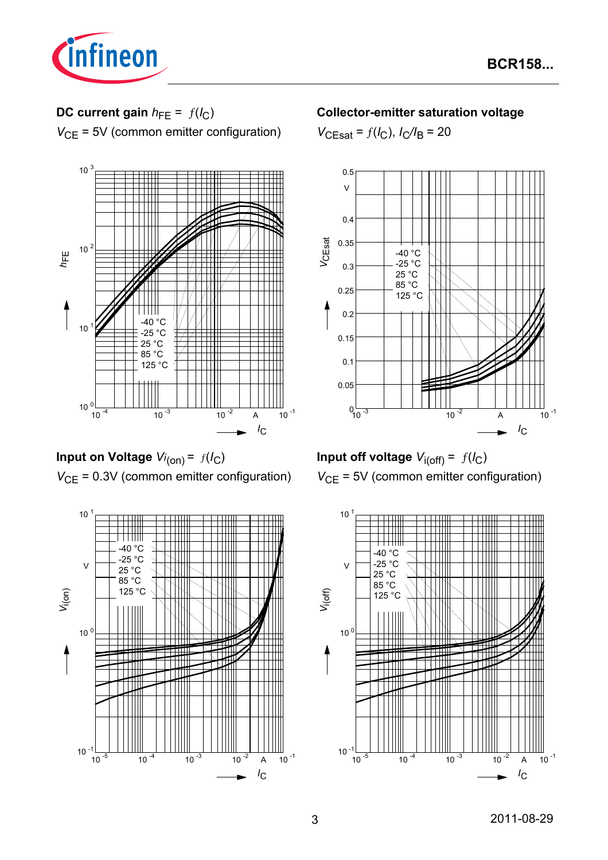

# **DC current gain**  $h_{FE} = f(l_C)$

*V*<sub>CE</sub> = 5V (common emitter configuration)



**Input on Voltage** *Vi* (on) = ƒ(*I*C) *V*<sub>CE</sub> = 0.3V (common emitter configuration)



### **Collector-emitter saturation voltage**

 $V_{\text{CEsat}} = f(I_{\text{C}}), I_{\text{C}}/I_{\text{B}} = 20$ 





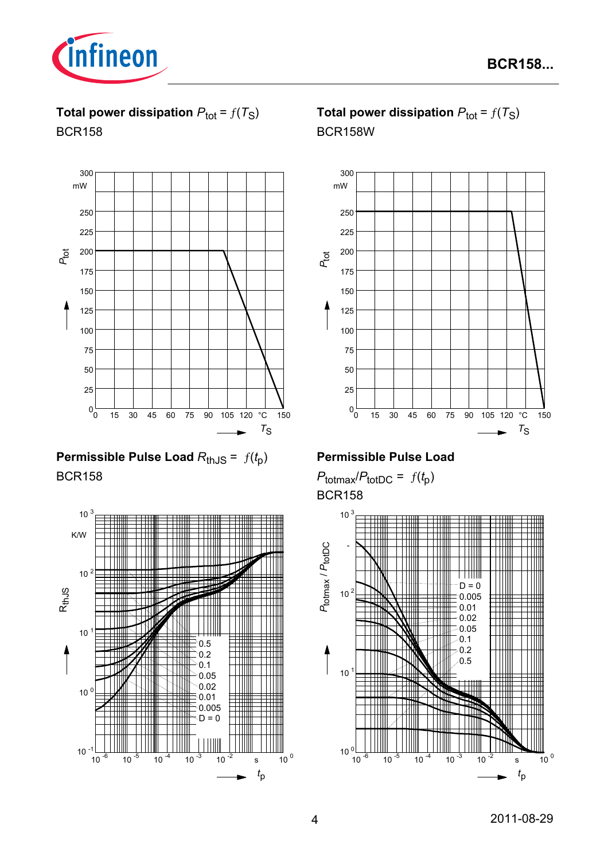

**Total power dissipation**  $P_{\text{tot}} = f(T_S)$ BCR158



# **Permissible Pulse Load**  $R_{th,JS} = f(t_p)$ BCR158



# **Total power dissipation**  $P_{\text{tot}} = f(T_S)$ BCR158W



# **Permissible Pulse Load**

 $P_{\text{totmax}}/P_{\text{totDC}} = f(t_p)$ BCR158

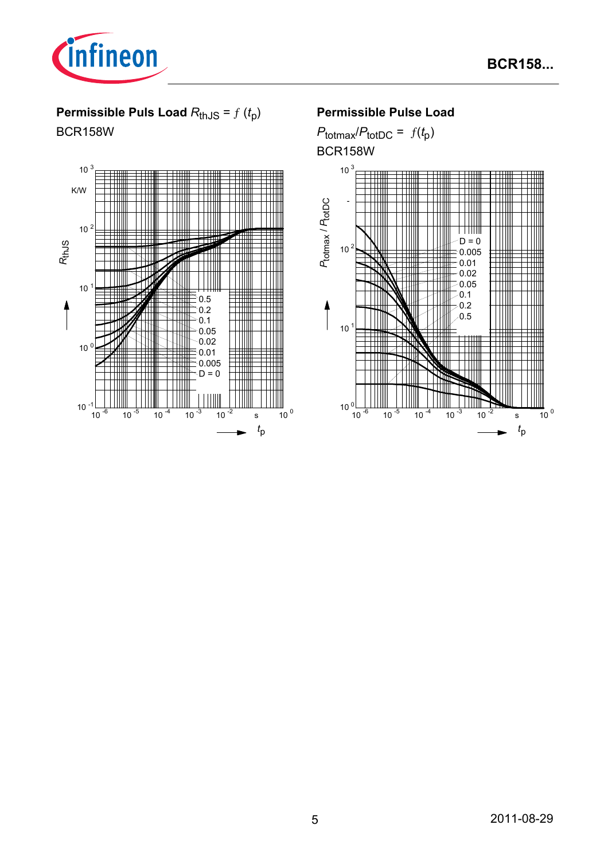

# **Permissible Puls Load**  $R_{th,JS} = f(t_p)$

BCR158W



# **Permissible Pulse Load**

 $P_{\text{totmax}}/P_{\text{totDC}} = f(t_p)$ BCR158W

![](_page_4_Figure_7.jpeg)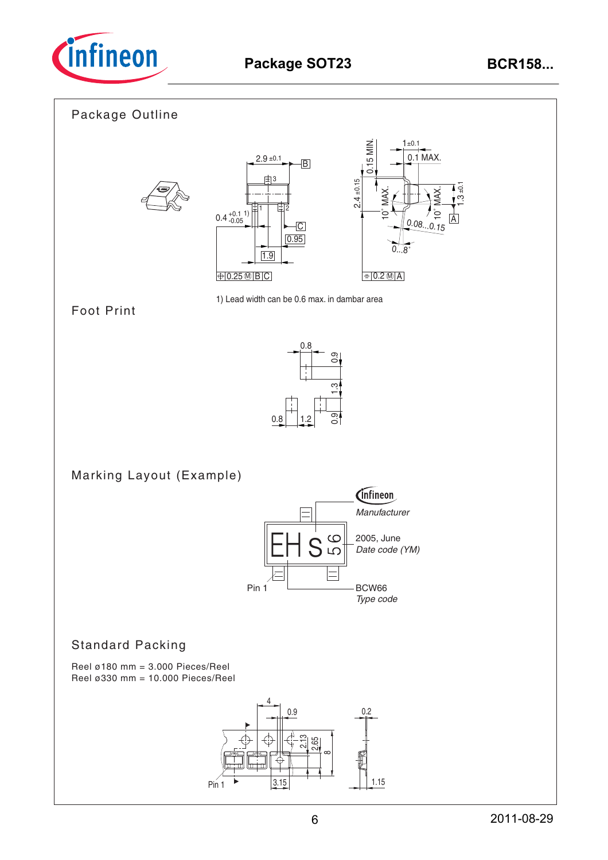![](_page_5_Picture_0.jpeg)

![](_page_5_Figure_3.jpeg)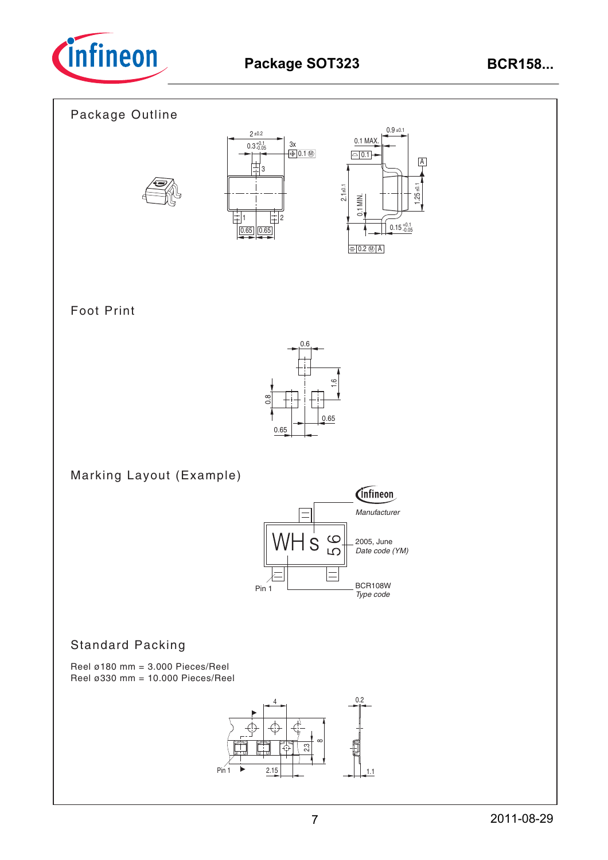![](_page_6_Picture_0.jpeg)

![](_page_6_Figure_3.jpeg)